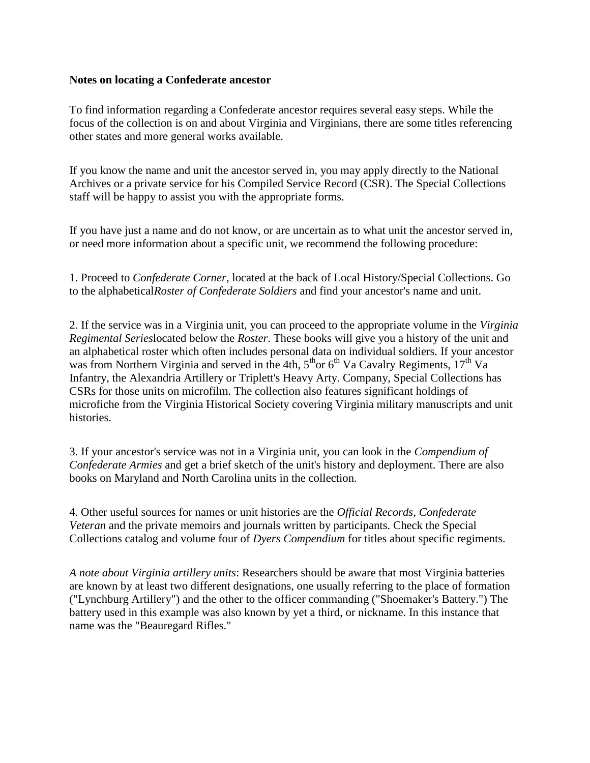## **Notes on locating a Confederate ancestor**

To find information regarding a Confederate ancestor requires several easy steps. While the focus of the collection is on and about Virginia and Virginians, there are some titles referencing other states and more general works available.

If you know the name and unit the ancestor served in, you may apply directly to the National Archives or a private service for his Compiled Service Record (CSR). The Special Collections staff will be happy to assist you with the appropriate forms.

If you have just a name and do not know, or are uncertain as to what unit the ancestor served in, or need more information about a specific unit, we recommend the following procedure:

1. Proceed to *Confederate Corner,* located at the back of Local History/Special Collections. Go to the alphabetical*Roster of Confederate Soldiers* and find your ancestor's name and unit.

2. If the service was in a Virginia unit, you can proceed to the appropriate volume in the *Virginia Regimental Series*located below the *Roster*. These books will give you a history of the unit and an alphabetical roster which often includes personal data on individual soldiers. If your ancestor was from Northern Virginia and served in the 4th,  $5<sup>th</sup>$  or  $6<sup>th</sup>$  Va Cavalry Regiments,  $17<sup>th</sup>$  Va Infantry, the Alexandria Artillery or Triplett's Heavy Arty. Company, Special Collections has CSRs for those units on microfilm. The collection also features significant holdings of microfiche from the Virginia Historical Society covering Virginia military manuscripts and unit histories.

3. If your ancestor's service was not in a Virginia unit, you can look in the *Compendium of Confederate Armies* and get a brief sketch of the unit's history and deployment. There are also books on Maryland and North Carolina units in the collection.

4. Other useful sources for names or unit histories are the *Official Records, Confederate Veteran* and the private memoirs and journals written by participants. Check the Special Collections catalog and volume four of *Dyers Compendium* for titles about specific regiments.

*A note about Virginia artillery units*: Researchers should be aware that most Virginia batteries are known by at least two different designations, one usually referring to the place of formation ("Lynchburg Artillery") and the other to the officer commanding ("Shoemaker's Battery.") The battery used in this example was also known by yet a third, or nickname. In this instance that name was the "Beauregard Rifles."